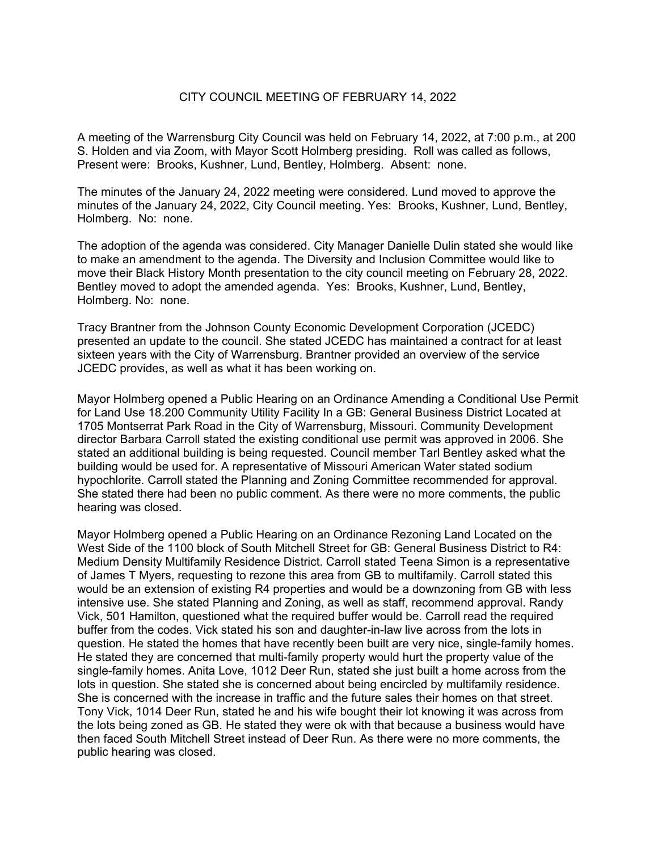## CITY COUNCIL MEETING OF FEBRUARY 14, 2022

A meeting of the Warrensburg City Council was held on February 14, 2022, at 7:00 p.m., at 200 S. Holden and via Zoom, with Mayor Scott Holmberg presiding. Roll was called as follows, Present were: Brooks, Kushner, Lund, Bentley, Holmberg. Absent: none.

The minutes of the January 24, 2022 meeting were considered. Lund moved to approve the minutes of the January 24, 2022, City Council meeting. Yes: Brooks, Kushner, Lund, Bentley, Holmberg. No: none.

The adoption of the agenda was considered. City Manager Danielle Dulin stated she would like to make an amendment to the agenda. The Diversity and Inclusion Committee would like to move their Black History Month presentation to the city council meeting on February 28, 2022. Bentley moved to adopt the amended agenda. Yes: Brooks, Kushner, Lund, Bentley, Holmberg. No: none.

Tracy Brantner from the Johnson County Economic Development Corporation (JCEDC) presented an update to the council. She stated JCEDC has maintained a contract for at least sixteen years with the City of Warrensburg. Brantner provided an overview of the service JCEDC provides, as well as what it has been working on.

Mayor Holmberg opened a Public Hearing on an Ordinance Amending a Conditional Use Permit for Land Use 18.200 Community Utility Facility In a GB: General Business District Located at 1705 Montserrat Park Road in the City of Warrensburg, Missouri. Community Development director Barbara Carroll stated the existing conditional use permit was approved in 2006. She stated an additional building is being requested. Council member Tarl Bentley asked what the building would be used for. A representative of Missouri American Water stated sodium hypochlorite. Carroll stated the Planning and Zoning Committee recommended for approval. She stated there had been no public comment. As there were no more comments, the public hearing was closed.

Mayor Holmberg opened a Public Hearing on an Ordinance Rezoning Land Located on the West Side of the 1100 block of South Mitchell Street for GB: General Business District to R4: Medium Density Multifamily Residence District. Carroll stated Teena Simon is a representative of James T Myers, requesting to rezone this area from GB to multifamily. Carroll stated this would be an extension of existing R4 properties and would be a downzoning from GB with less intensive use. She stated Planning and Zoning, as well as staff, recommend approval. Randy Vick, 501 Hamilton, questioned what the required buffer would be. Carroll read the required buffer from the codes. Vick stated his son and daughter-in-law live across from the lots in question. He stated the homes that have recently been built are very nice, single-family homes. He stated they are concerned that multi-family property would hurt the property value of the single-family homes. Anita Love, 1012 Deer Run, stated she just built a home across from the lots in question. She stated she is concerned about being encircled by multifamily residence. She is concerned with the increase in traffic and the future sales their homes on that street. Tony Vick, 1014 Deer Run, stated he and his wife bought their lot knowing it was across from the lots being zoned as GB. He stated they were ok with that because a business would have then faced South Mitchell Street instead of Deer Run. As there were no more comments, the public hearing was closed.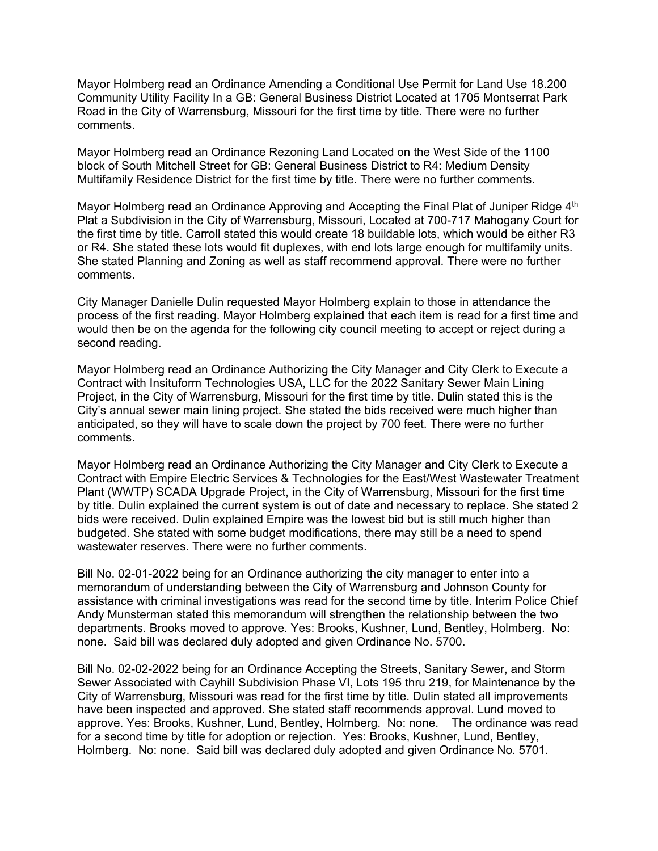Mayor Holmberg read an Ordinance Amending a Conditional Use Permit for Land Use 18.200 Community Utility Facility In a GB: General Business District Located at 1705 Montserrat Park Road in the City of Warrensburg, Missouri for the first time by title. There were no further comments.

Mayor Holmberg read an Ordinance Rezoning Land Located on the West Side of the 1100 block of South Mitchell Street for GB: General Business District to R4: Medium Density Multifamily Residence District for the first time by title. There were no further comments.

Mayor Holmberg read an Ordinance Approving and Accepting the Final Plat of Juniper Ridge 4<sup>th</sup> Plat a Subdivision in the City of Warrensburg, Missouri, Located at 700-717 Mahogany Court for the first time by title. Carroll stated this would create 18 buildable lots, which would be either R3 or R4. She stated these lots would fit duplexes, with end lots large enough for multifamily units. She stated Planning and Zoning as well as staff recommend approval. There were no further comments.

City Manager Danielle Dulin requested Mayor Holmberg explain to those in attendance the process of the first reading. Mayor Holmberg explained that each item is read for a first time and would then be on the agenda for the following city council meeting to accept or reject during a second reading.

Mayor Holmberg read an Ordinance Authorizing the City Manager and City Clerk to Execute a Contract with Insituform Technologies USA, LLC for the 2022 Sanitary Sewer Main Lining Project, in the City of Warrensburg, Missouri for the first time by title. Dulin stated this is the City's annual sewer main lining project. She stated the bids received were much higher than anticipated, so they will have to scale down the project by 700 feet. There were no further comments.

Mayor Holmberg read an Ordinance Authorizing the City Manager and City Clerk to Execute a Contract with Empire Electric Services & Technologies for the East/West Wastewater Treatment Plant (WWTP) SCADA Upgrade Project, in the City of Warrensburg, Missouri for the first time by title. Dulin explained the current system is out of date and necessary to replace. She stated 2 bids were received. Dulin explained Empire was the lowest bid but is still much higher than budgeted. She stated with some budget modifications, there may still be a need to spend wastewater reserves. There were no further comments.

Bill No. 02-01-2022 being for an Ordinance authorizing the city manager to enter into a memorandum of understanding between the City of Warrensburg and Johnson County for assistance with criminal investigations was read for the second time by title. Interim Police Chief Andy Munsterman stated this memorandum will strengthen the relationship between the two departments. Brooks moved to approve. Yes: Brooks, Kushner, Lund, Bentley, Holmberg. No: none. Said bill was declared duly adopted and given Ordinance No. 5700.

Bill No. 02-02-2022 being for an Ordinance Accepting the Streets, Sanitary Sewer, and Storm Sewer Associated with Cayhill Subdivision Phase VI, Lots 195 thru 219, for Maintenance by the City of Warrensburg, Missouri was read for the first time by title. Dulin stated all improvements have been inspected and approved. She stated staff recommends approval. Lund moved to approve. Yes: Brooks, Kushner, Lund, Bentley, Holmberg. No: none. The ordinance was read for a second time by title for adoption or rejection. Yes: Brooks, Kushner, Lund, Bentley, Holmberg. No: none. Said bill was declared duly adopted and given Ordinance No. 5701.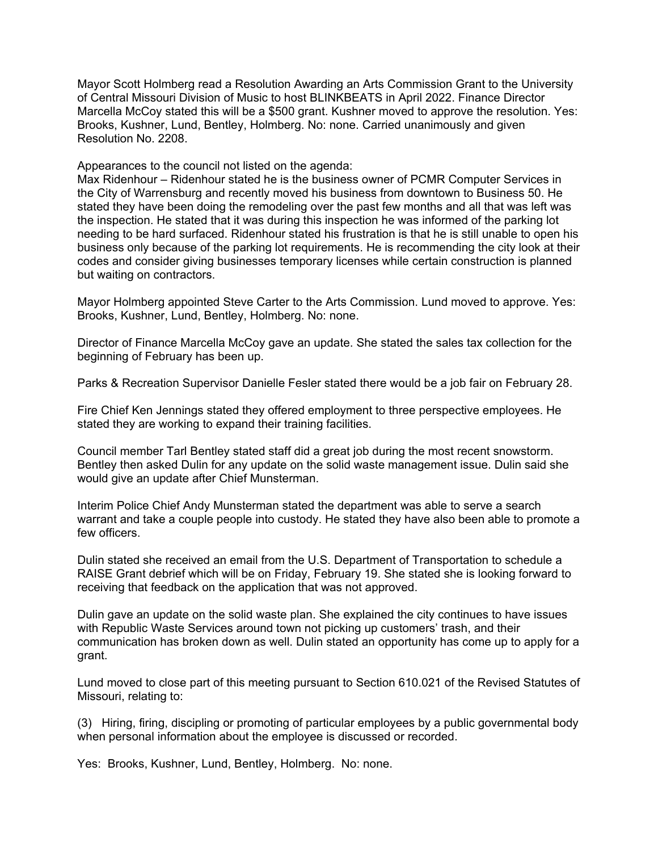Mayor Scott Holmberg read a Resolution Awarding an Arts Commission Grant to the University of Central Missouri Division of Music to host BLINKBEATS in April 2022. Finance Director Marcella McCoy stated this will be a \$500 grant. Kushner moved to approve the resolution. Yes: Brooks, Kushner, Lund, Bentley, Holmberg. No: none. Carried unanimously and given Resolution No. 2208.

Appearances to the council not listed on the agenda:

Max Ridenhour – Ridenhour stated he is the business owner of PCMR Computer Services in the City of Warrensburg and recently moved his business from downtown to Business 50. He stated they have been doing the remodeling over the past few months and all that was left was the inspection. He stated that it was during this inspection he was informed of the parking lot needing to be hard surfaced. Ridenhour stated his frustration is that he is still unable to open his business only because of the parking lot requirements. He is recommending the city look at their codes and consider giving businesses temporary licenses while certain construction is planned but waiting on contractors.

Mayor Holmberg appointed Steve Carter to the Arts Commission. Lund moved to approve. Yes: Brooks, Kushner, Lund, Bentley, Holmberg. No: none.

Director of Finance Marcella McCoy gave an update. She stated the sales tax collection for the beginning of February has been up.

Parks & Recreation Supervisor Danielle Fesler stated there would be a job fair on February 28.

Fire Chief Ken Jennings stated they offered employment to three perspective employees. He stated they are working to expand their training facilities.

Council member Tarl Bentley stated staff did a great job during the most recent snowstorm. Bentley then asked Dulin for any update on the solid waste management issue. Dulin said she would give an update after Chief Munsterman.

Interim Police Chief Andy Munsterman stated the department was able to serve a search warrant and take a couple people into custody. He stated they have also been able to promote a few officers.

Dulin stated she received an email from the U.S. Department of Transportation to schedule a RAISE Grant debrief which will be on Friday, February 19. She stated she is looking forward to receiving that feedback on the application that was not approved.

Dulin gave an update on the solid waste plan. She explained the city continues to have issues with Republic Waste Services around town not picking up customers' trash, and their communication has broken down as well. Dulin stated an opportunity has come up to apply for a grant.

Lund moved to close part of this meeting pursuant to Section 610.021 of the Revised Statutes of Missouri, relating to:

(3) Hiring, firing, discipling or promoting of particular employees by a public governmental body when personal information about the employee is discussed or recorded.

Yes: Brooks, Kushner, Lund, Bentley, Holmberg. No: none.